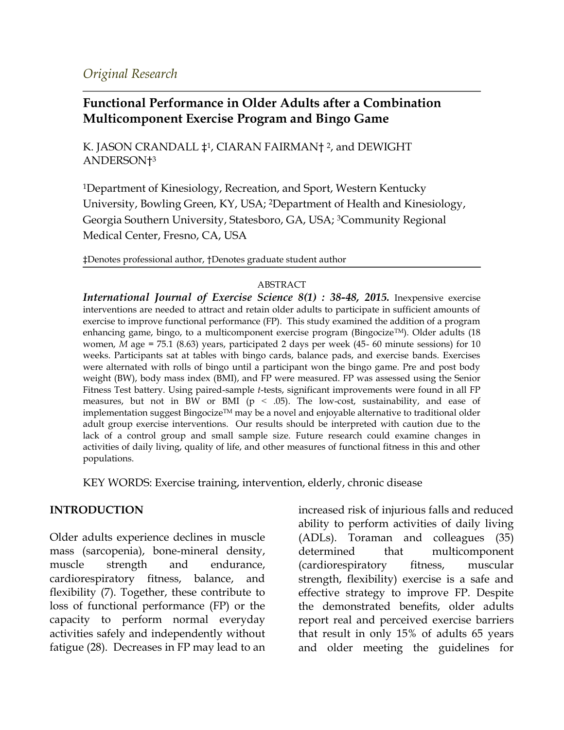#### *Original Research*

# **Functional Performance in Older Adults after a Combination Multicomponent Exercise Program and Bingo Game**

K. JASON CRANDALL ‡1, CIARAN FAIRMAN† <sup>2</sup>, and DEWIGHT ANDERSON†<sup>3</sup>

<sup>1</sup>Department of Kinesiology, Recreation, and Sport, Western Kentucky University, Bowling Green, KY, USA; 2Department of Health and Kinesiology, Georgia Southern University, Statesboro, GA, USA; 3Community Regional Medical Center, Fresno, CA, USA

‡Denotes professional author, †Denotes graduate student author

#### ABSTRACT

*International Journal of Exercise Science 8(1) : 38-48, 2015.* Inexpensive exercise interventions are needed to attract and retain older adults to participate in sufficient amounts of exercise to improve functional performance (FP). This study examined the addition of a program enhancing game, bingo, to a multicomponent exercise program (Bingocize<sup>TM</sup>). Older adults (18 women, *M* age = 75.1 (8.63) years, participated 2 days per week (45- 60 minute sessions) for 10 weeks. Participants sat at tables with bingo cards, balance pads, and exercise bands. Exercises were alternated with rolls of bingo until a participant won the bingo game. Pre and post body weight (BW), body mass index (BMI), and FP were measured. FP was assessed using the Senior Fitness Test battery. Using paired-sample *t*-tests, significant improvements were found in all FP measures, but not in BW or BMI ( $p < .05$ ). The low-cost, sustainability, and ease of implementation suggest Bingocize<sup>TM</sup> may be a novel and enjoyable alternative to traditional older adult group exercise interventions. Our results should be interpreted with caution due to the lack of a control group and small sample size. Future research could examine changes in activities of daily living, quality of life, and other measures of functional fitness in this and other populations.

KEY WORDS: Exercise training, intervention, elderly, chronic disease

#### **INTRODUCTION**

Older adults experience declines in muscle mass (sarcopenia), bone-mineral density, muscle strength and endurance, cardiorespiratory fitness, balance, and flexibility (7). Together, these contribute to loss of functional performance (FP) or the capacity to perform normal everyday activities safely and independently without fatigue (28). Decreases in FP may lead to an

increased risk of injurious falls and reduced ability to perform activities of daily living (ADLs). Toraman and colleagues (35) determined that multicomponent (cardiorespiratory fitness, muscular strength, flexibility) exercise is a safe and effective strategy to improve FP. Despite the demonstrated benefits, older adults report real and perceived exercise barriers that result in only 15% of adults 65 years and older meeting the guidelines for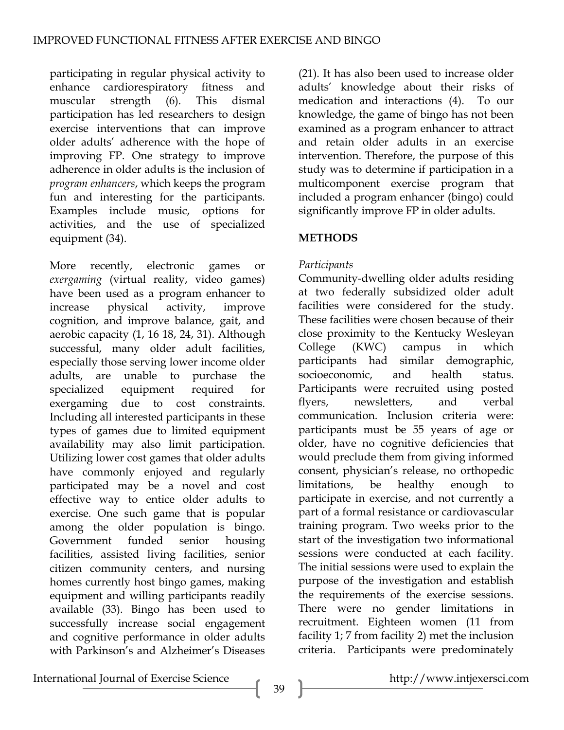participating in regular physical activity to enhance cardiorespiratory fitness and muscular strength (6). This dismal participation has led researchers to design exercise interventions that can improve older adults' adherence with the hope of improving FP. One strategy to improve adherence in older adults is the inclusion of *program enhancers*, which keeps the program fun and interesting for the participants. Examples include music, options for activities, and the use of specialized equipment (34).

More recently, electronic games or *exergaming* (virtual reality, video games) have been used as a program enhancer to increase physical activity, improve cognition, and improve balance, gait, and aerobic capacity (1, 16 18, 24, 31). Although successful, many older adult facilities, especially those serving lower income older adults, are unable to purchase the specialized equipment required for exergaming due to cost constraints. Including all interested participants in these types of games due to limited equipment availability may also limit participation. Utilizing lower cost games that older adults have commonly enjoyed and regularly participated may be a novel and cost effective way to entice older adults to exercise. One such game that is popular among the older population is bingo. Government funded senior housing facilities, assisted living facilities, senior citizen community centers, and nursing homes currently host bingo games, making equipment and willing participants readily available (33). Bingo has been used to successfully increase social engagement and cognitive performance in older adults with Parkinson's and Alzheimer's Diseases

(21). It has also been used to increase older adults' knowledge about their risks of medication and interactions (4). To our knowledge, the game of bingo has not been examined as a program enhancer to attract and retain older adults in an exercise intervention. Therefore, the purpose of this study was to determine if participation in a multicomponent exercise program that included a program enhancer (bingo) could significantly improve FP in older adults.

# **METHODS**

## *Participants*

Community-dwelling older adults residing at two federally subsidized older adult facilities were considered for the study. These facilities were chosen because of their close proximity to the Kentucky Wesleyan College (KWC) campus in which participants had similar demographic, socioeconomic, and health status. Participants were recruited using posted flyers, newsletters, and verbal communication. Inclusion criteria were: participants must be 55 years of age or older, have no cognitive deficiencies that would preclude them from giving informed consent, physician's release, no orthopedic limitations, be healthy enough to participate in exercise, and not currently a part of a formal resistance or cardiovascular training program. Two weeks prior to the start of the investigation two informational sessions were conducted at each facility. The initial sessions were used to explain the purpose of the investigation and establish the requirements of the exercise sessions. There were no gender limitations in recruitment. Eighteen women (11 from facility 1; 7 from facility 2) met the inclusion criteria. Participants were predominately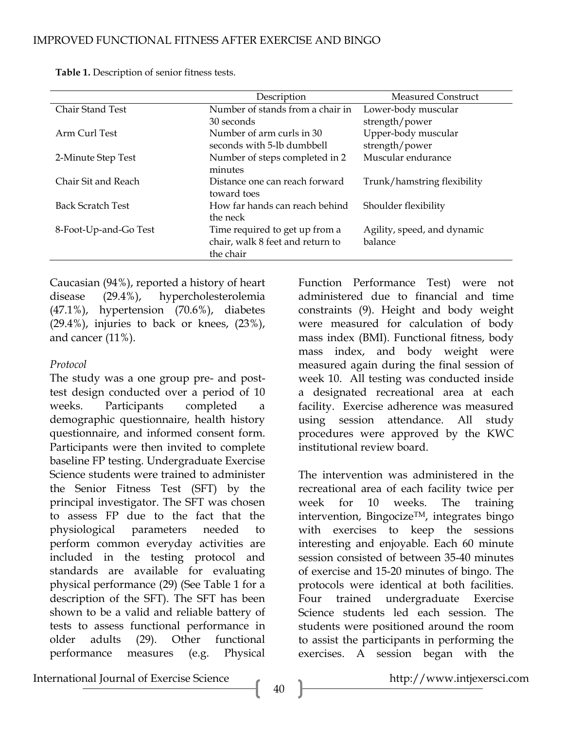|                          | Description                      | <b>Measured Construct</b>   |  |  |
|--------------------------|----------------------------------|-----------------------------|--|--|
| <b>Chair Stand Test</b>  | Number of stands from a chair in | Lower-body muscular         |  |  |
|                          | 30 seconds                       | strength/power              |  |  |
| Arm Curl Test            | Number of arm curls in 30        | Upper-body muscular         |  |  |
|                          | seconds with 5-lb dumbbell       | strength/power              |  |  |
| 2-Minute Step Test       | Number of steps completed in 2   | Muscular endurance          |  |  |
|                          | minutes                          |                             |  |  |
| Chair Sit and Reach      | Distance one can reach forward   | Trunk/hamstring flexibility |  |  |
|                          | toward toes                      |                             |  |  |
| <b>Back Scratch Test</b> | How far hands can reach behind   | Shoulder flexibility        |  |  |
|                          | the neck                         |                             |  |  |
| 8-Foot-Up-and-Go Test    | Time required to get up from a   | Agility, speed, and dynamic |  |  |
|                          | chair, walk 8 feet and return to | balance                     |  |  |
|                          | the chair                        |                             |  |  |

**Table 1.** Description of senior fitness tests.

Caucasian (94%), reported a history of heart disease (29.4%), hypercholesterolemia (47.1%), hypertension (70.6%), diabetes  $(29.4\%)$ , injuries to back or knees,  $(23\%)$ , and cancer (11%).

### *Protocol*

The study was a one group pre- and posttest design conducted over a period of 10 weeks. Participants completed a demographic questionnaire, health history questionnaire, and informed consent form. Participants were then invited to complete baseline FP testing. Undergraduate Exercise Science students were trained to administer the Senior Fitness Test (SFT) by the principal investigator. The SFT was chosen to assess FP due to the fact that the physiological parameters needed to perform common everyday activities are included in the testing protocol and standards are available for evaluating physical performance (29) (See Table 1 for a description of the SFT). The SFT has been shown to be a valid and reliable battery of tests to assess functional performance in older adults (29). Other functional performance measures (e.g. Physical

Function Performance Test) were not administered due to financial and time constraints (9). Height and body weight were measured for calculation of body mass index (BMI). Functional fitness, body mass index, and body weight were measured again during the final session of week 10. All testing was conducted inside a designated recreational area at each facility. Exercise adherence was measured using session attendance. All study procedures were approved by the KWC institutional review board.

The intervention was administered in the recreational area of each facility twice per week for 10 weeks. The training intervention, Bingocize<sup>TM</sup>, integrates bingo with exercises to keep the sessions interesting and enjoyable. Each 60 minute session consisted of between 35-40 minutes of exercise and 15-20 minutes of bingo. The protocols were identical at both facilities. Four trained undergraduate Exercise Science students led each session. The students were positioned around the room to assist the participants in performing the exercises. A session began with the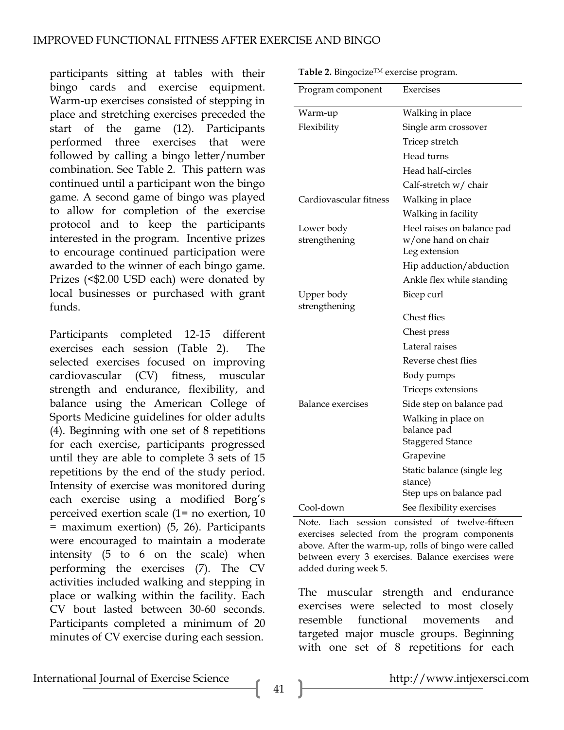participants sitting at tables with their bingo cards and exercise equipment. Warm-up exercises consisted of stepping in place and stretching exercises preceded the start of the game (12). Participants performed three exercises that were followed by calling a bingo letter/number combination. See Table 2. This pattern was continued until a participant won the bingo game. A second game of bingo was played to allow for completion of the exercise protocol and to keep the participants interested in the program. Incentive prizes to encourage continued participation were awarded to the winner of each bingo game. Prizes (<\$2.00 USD each) were donated by local businesses or purchased with grant funds.

Participants completed 12-15 different exercises each session (Table 2). The selected exercises focused on improving cardiovascular (CV) fitness, muscular strength and endurance, flexibility, and balance using the American College of Sports Medicine guidelines for older adults (4). Beginning with one set of 8 repetitions for each exercise, participants progressed until they are able to complete 3 sets of 15 repetitions by the end of the study period. Intensity of exercise was monitored during each exercise using a modified Borg's perceived exertion scale (1= no exertion, 10 = maximum exertion) (5, 26). Participants were encouraged to maintain a moderate intensity (5 to 6 on the scale) when performing the exercises (7). The CV activities included walking and stepping in place or walking within the facility. Each CV bout lasted between 30-60 seconds. Participants completed a minimum of 20 minutes of CV exercise during each session.

**Table 2.** BingocizeTM exercise program.

| Program component           | Exercises                                                          |
|-----------------------------|--------------------------------------------------------------------|
| Warm-up                     | Walking in place                                                   |
| Flexibility                 | Single arm crossover                                               |
|                             | Tricep stretch                                                     |
|                             | Head turns                                                         |
|                             | Head half-circles                                                  |
|                             | Calf-stretch w/ chair                                              |
| Cardiovascular fitness      | Walking in place                                                   |
|                             | Walking in facility                                                |
| Lower body<br>strengthening | Heel raises on balance pad<br>w/one hand on chair<br>Leg extension |
|                             | Hip adduction/abduction                                            |
|                             | Ankle flex while standing                                          |
| Upper body<br>strengthening | Bicep curl                                                         |
|                             | <b>Chest flies</b>                                                 |
|                             | Chest press                                                        |
|                             | Lateral raises                                                     |
|                             | Reverse chest flies                                                |
|                             | Body pumps                                                         |
|                             | Triceps extensions                                                 |
| Balance exercises           | Side step on balance pad                                           |
|                             | Walking in place on<br>balance pad<br><b>Staggered Stance</b>      |
|                             | Grapevine                                                          |
|                             | Static balance (single leg<br>stance)                              |
|                             | Step ups on balance pad                                            |
| Cool-down                   | See flexibility exercises                                          |

Note. Each session consisted of twelve-fifteen exercises selected from the program components above. After the warm-up, rolls of bingo were called between every 3 exercises. Balance exercises were added during week 5.

The muscular strength and endurance exercises were selected to most closely resemble functional movements and targeted major muscle groups. Beginning with one set of 8 repetitions for each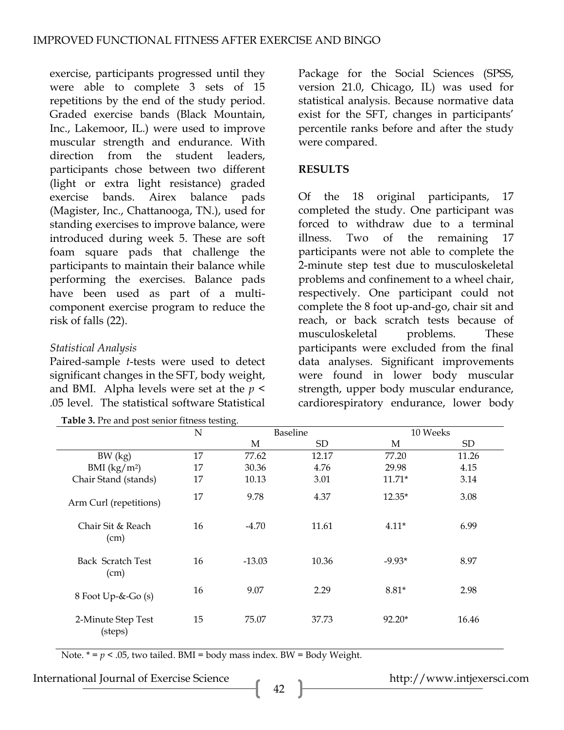exercise, participants progressed until they were able to complete 3 sets of 15 repetitions by the end of the study period. Graded exercise bands (Black Mountain, Inc., Lakemoor, IL.) were used to improve muscular strength and endurance. With direction from the student leaders, participants chose between two different (light or extra light resistance) graded exercise bands. Airex balance pads (Magister, Inc., Chattanooga, TN.), used for standing exercises to improve balance, were introduced during week 5. These are soft foam square pads that challenge the participants to maintain their balance while performing the exercises. Balance pads have been used as part of a multicomponent exercise program to reduce the risk of falls (22).

## *Statistical Analysis*

Paired-sample *t*-tests were used to detect significant changes in the SFT, body weight, and BMI. Alpha levels were set at the *p* < .05 level. The statistical software Statistical

**Table 3.** Pre and post senior fitness testing.

Package for the Social Sciences (SPSS, version 21.0, Chicago, IL) was used for statistical analysis. Because normative data exist for the SFT, changes in participants' percentile ranks before and after the study were compared.

### **RESULTS**

Of the 18 original participants, 17 completed the study. One participant was forced to withdraw due to a terminal illness. Two of the remaining 17 participants were not able to complete the 2-minute step test due to musculoskeletal problems and confinement to a wheel chair, respectively. One participant could not complete the 8 foot up-and-go, chair sit and reach, or back scratch tests because of musculoskeletal problems. These participants were excluded from the final data analyses. Significant improvements were found in lower body muscular strength, upper body muscular endurance, cardiorespiratory endurance, lower body

|                               | N  |          | Baseline | 10 Weeks |       |  |
|-------------------------------|----|----------|----------|----------|-------|--|
|                               |    | М        | SD.      | М        | SD    |  |
| BW (kg)                       | 17 | 77.62    | 12.17    | 77.20    | 11.26 |  |
| BMI $(kg/m^2)$                | 17 | 30.36    | 4.76     | 29.98    | 4.15  |  |
| Chair Stand (stands)          | 17 | 10.13    | 3.01     | $11.71*$ | 3.14  |  |
| Arm Curl (repetitions)        | 17 | 9.78     | 4.37     | $12.35*$ | 3.08  |  |
| Chair Sit & Reach<br>(cm)     | 16 | $-4.70$  | 11.61    | $4.11*$  | 6.99  |  |
| Back Scratch Test<br>(cm)     | 16 | $-13.03$ | 10.36    | $-9.93*$ | 8.97  |  |
| $8$ Foot Up-&-Go (s)          | 16 | 9.07     | 2.29     | $8.81*$  | 2.98  |  |
| 2-Minute Step Test<br>(steps) | 15 | 75.07    | 37.73    | $92.20*$ | 16.46 |  |

Note.  $* = p < .05$ , two tailed. BMI = body mass index. BW = Body Weight.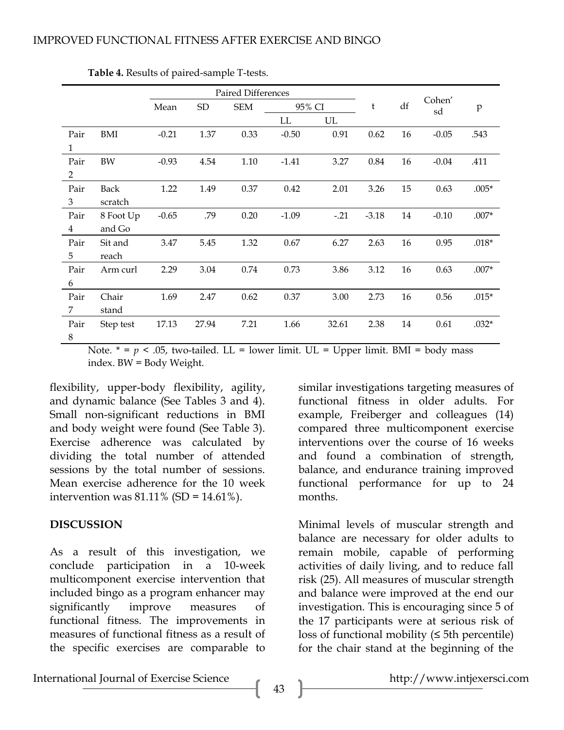|                |           | <b>Paired Differences</b> |       |            |         |        |         |    |              |         |
|----------------|-----------|---------------------------|-------|------------|---------|--------|---------|----|--------------|---------|
|                |           | Mean                      | SD    | <b>SEM</b> | 95% CI  |        | t       | df | Cohen'<br>sd | p       |
|                |           |                           |       |            | LL      | UL     |         |    |              |         |
| Pair           | BMI       | $-0.21$                   | 1.37  | 0.33       | $-0.50$ | 0.91   | 0.62    | 16 | $-0.05$      | .543    |
| 1              |           |                           |       |            |         |        |         |    |              |         |
| Pair           | BW        | $-0.93$                   | 4.54  | 1.10       | $-1.41$ | 3.27   | 0.84    | 16 | $-0.04$      | .411    |
| $\overline{2}$ |           |                           |       |            |         |        |         |    |              |         |
| Pair           | Back      | 1.22                      | 1.49  | 0.37       | 0.42    | 2.01   | 3.26    | 15 | 0.63         | $.005*$ |
| 3              | scratch   |                           |       |            |         |        |         |    |              |         |
| Pair           | 8 Foot Up | $-0.65$                   | .79   | 0.20       | $-1.09$ | $-.21$ | $-3.18$ | 14 | $-0.10$      | $.007*$ |
| $\overline{4}$ | and Go    |                           |       |            |         |        |         |    |              |         |
| Pair           | Sit and   | 3.47                      | 5.45  | 1.32       | 0.67    | 6.27   | 2.63    | 16 | 0.95         | $.018*$ |
| 5              | reach     |                           |       |            |         |        |         |    |              |         |
| Pair           | Arm curl  | 2.29                      | 3.04  | 0.74       | 0.73    | 3.86   | 3.12    | 16 | 0.63         | $.007*$ |
| 6              |           |                           |       |            |         |        |         |    |              |         |
| Pair           | Chair     | 1.69                      | 2.47  | 0.62       | 0.37    | 3.00   | 2.73    | 16 | 0.56         | $.015*$ |
| 7              | stand     |                           |       |            |         |        |         |    |              |         |
| Pair           | Step test | 17.13                     | 27.94 | 7.21       | 1.66    | 32.61  | 2.38    | 14 | 0.61         | $.032*$ |
| 8              |           |                           |       |            |         |        |         |    |              |         |

**Table 4.** Results of paired-sample T-tests.

Note.  $* = p < .05$ , two-tailed. LL = lower limit. UL = Upper limit. BMI = body mass index. BW = Body Weight.

flexibility, upper-body flexibility, agility, and dynamic balance (See Tables 3 and 4). Small non-significant reductions in BMI and body weight were found (See Table 3). Exercise adherence was calculated by dividing the total number of attended sessions by the total number of sessions. Mean exercise adherence for the 10 week intervention was  $81.11\%$  (SD = 14.61%).

#### **DISCUSSION**

As a result of this investigation, we conclude participation in a 10-week multicomponent exercise intervention that included bingo as a program enhancer may significantly improve measures of functional fitness. The improvements in measures of functional fitness as a result of the specific exercises are comparable to

similar investigations targeting measures of functional fitness in older adults. For example, Freiberger and colleagues (14) compared three multicomponent exercise interventions over the course of 16 weeks and found a combination of strength, balance, and endurance training improved functional performance for up to 24 months.

Minimal levels of muscular strength and balance are necessary for older adults to remain mobile, capable of performing activities of daily living, and to reduce fall risk (25). All measures of muscular strength and balance were improved at the end our investigation. This is encouraging since 5 of the 17 participants were at serious risk of loss of functional mobility  $(≤ 5<sup>th</sup> percentile)$ for the chair stand at the beginning of the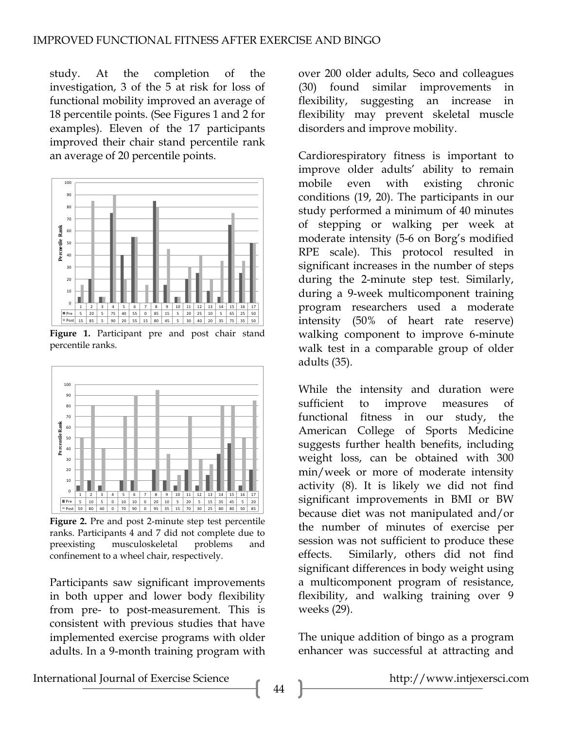study. At the completion of the investigation, 3 of the 5 at risk for loss of functional mobility improved an average of 18 percentile points. (See Figures 1 and 2 for examples). Eleven of the 17 participants improved their chair stand percentile rank an average of 20 percentile points.



**Figure 1.** Participant pre and post chair stand percentile ranks.



**Figure 2.** Pre and post 2-minute step test percentile ranks. Participants 4 and 7 did not complete due to preexisting musculoskeletal problems and confinement to a wheel chair, respectively.

Participants saw significant improvements in both upper and lower body flexibility from pre- to post-measurement. This is consistent with previous studies that have implemented exercise programs with older adults. In a 9-month training program with over 200 older adults, Seco and colleagues (30) found similar improvements in flexibility, suggesting an increase in flexibility may prevent skeletal muscle disorders and improve mobility.

Cardiorespiratory fitness is important to improve older adults' ability to remain mobile even with existing chronic conditions (19, 20). The participants in our study performed a minimum of 40 minutes of stepping or walking per week at moderate intensity (5-6 on Borg's modified RPE scale). This protocol resulted in significant increases in the number of steps during the 2-minute step test. Similarly, during a 9-week multicomponent training program researchers used a moderate intensity (50% of heart rate reserve) walking component to improve 6-minute walk test in a comparable group of older adults (35).

While the intensity and duration were sufficient to improve measures of functional fitness in our study, the American College of Sports Medicine suggests further health benefits, including weight loss, can be obtained with 300 min/week or more of moderate intensity activity (8). It is likely we did not find significant improvements in BMI or BW because diet was not manipulated and/or the number of minutes of exercise per session was not sufficient to produce these effects. Similarly, others did not find significant differences in body weight using a multicomponent program of resistance, flexibility, and walking training over 9 weeks (29).

The unique addition of bingo as a program enhancer was successful at attracting and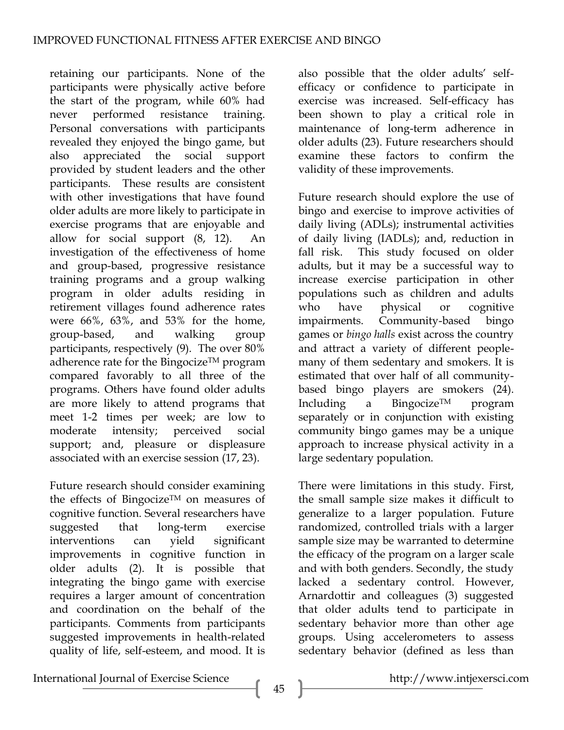retaining our participants. None of the participants were physically active before the start of the program, while 60% had never performed resistance training. Personal conversations with participants revealed they enjoyed the bingo game, but also appreciated the social support provided by student leaders and the other participants. These results are consistent with other investigations that have found older adults are more likely to participate in exercise programs that are enjoyable and allow for social support  $(8, 12)$ . investigation of the effectiveness of home and group-based, progressive resistance training programs and a group walking program in older adults residing in retirement villages found adherence rates were 66%, 63%, and 53% for the home, group-based, and walking group participants, respectively (9). The over 80% adherence rate for the Bingocize<sup>TM</sup> program compared favorably to all three of the programs. Others have found older adults are more likely to attend programs that meet 1-2 times per week; are low to moderate intensity; perceived social support; and, pleasure or displeasure associated with an exercise session (17, 23).

Future research should consider examining the effects of Bingocize™ on measures of cognitive function. Several researchers have suggested that long-term exercise interventions can yield significant improvements in cognitive function in older adults (2). It is possible that integrating the bingo game with exercise requires a larger amount of concentration and coordination on the behalf of the participants. Comments from participants suggested improvements in health-related quality of life, self-esteem, and mood. It is also possible that the older adults' selfefficacy or confidence to participate in exercise was increased. Self-efficacy has been shown to play a critical role in maintenance of long-term adherence in older adults (23). Future researchers should examine these factors to confirm the validity of these improvements.

Future research should explore the use of bingo and exercise to improve activities of daily living (ADLs); instrumental activities of daily living (IADLs); and, reduction in fall risk. This study focused on older adults, but it may be a successful way to increase exercise participation in other populations such as children and adults who have physical or cognitive impairments. Community-based bingo games or *bingo halls* exist across the country and attract a variety of different peoplemany of them sedentary and smokers. It is estimated that over half of all communitybased bingo players are smokers (24). Including a Bingocize<sup>TM</sup> program separately or in conjunction with existing community bingo games may be a unique approach to increase physical activity in a large sedentary population.

There were limitations in this study. First, the small sample size makes it difficult to generalize to a larger population. Future randomized, controlled trials with a larger sample size may be warranted to determine the efficacy of the program on a larger scale and with both genders. Secondly, the study lacked a sedentary control. However, Arnardottir and colleagues (3) suggested that older adults tend to participate in sedentary behavior more than other age groups. Using accelerometers to assess sedentary behavior (defined as less than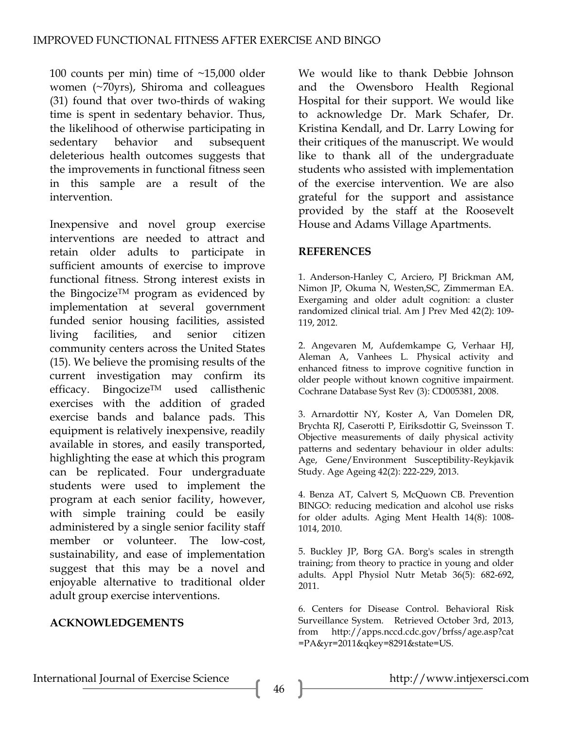100 counts per min) time of ~15,000 older women (~70yrs), Shiroma and colleagues (31) found that over two-thirds of waking time is spent in sedentary behavior. Thus, the likelihood of otherwise participating in sedentary behavior and subsequent deleterious health outcomes suggests that the improvements in functional fitness seen in this sample are a result of the intervention.

Inexpensive and novel group exercise interventions are needed to attract and retain older adults to participate in sufficient amounts of exercise to improve functional fitness. Strong interest exists in the BingocizeTM program as evidenced by implementation at several government funded senior housing facilities, assisted living facilities, and senior citizen community centers across the United States (15). We believe the promising results of the current investigation may confirm its efficacy. BingocizeTM used callisthenic exercises with the addition of graded exercise bands and balance pads. This equipment is relatively inexpensive, readily available in stores, and easily transported, highlighting the ease at which this program can be replicated. Four undergraduate students were used to implement the program at each senior facility, however, with simple training could be easily administered by a single senior facility staff member or volunteer. The low-cost, sustainability, and ease of implementation suggest that this may be a novel and enjoyable alternative to traditional older adult group exercise interventions.

# **ACKNOWLEDGEMENTS**

We would like to thank Debbie Johnson and the Owensboro Health Regional Hospital for their support. We would like to acknowledge Dr. Mark Schafer, Dr. Kristina Kendall, and Dr. Larry Lowing for their critiques of the manuscript. We would like to thank all of the undergraduate students who assisted with implementation of the exercise intervention. We are also grateful for the support and assistance provided by the staff at the Roosevelt House and Adams Village Apartments.

#### **REFERENCES**

1. Anderson-Hanley C, Arciero, PJ Brickman AM, Nimon JP, Okuma N, Westen,SC, Zimmerman EA. Exergaming and older adult cognition: a cluster randomized clinical trial. Am J Prev Med 42(2): 109- 119, 2012.

2. Angevaren M, Aufdemkampe G, Verhaar HJ, Aleman A, Vanhees L. Physical activity and enhanced fitness to improve cognitive function in older people without known cognitive impairment. Cochrane Database Syst Rev (3): CD005381, 2008.

3. Arnardottir NY, Koster A, Van Domelen DR, Brychta RJ, Caserotti P, Eiriksdottir G, Sveinsson T. Objective measurements of daily physical activity patterns and sedentary behaviour in older adults: Age, Gene/Environment Susceptibility-Reykjavik Study. Age Ageing 42(2): 222-229, 2013.

4. Benza AT, Calvert S, McQuown CB. Prevention BINGO: reducing medication and alcohol use risks for older adults. Aging Ment Health 14(8): 1008- 1014, 2010.

5. Buckley JP, Borg GA. Borg's scales in strength training; from theory to practice in young and older adults. Appl Physiol Nutr Metab 36(5): 682-692, 2011.

6. Centers for Disease Control. Behavioral Risk Surveillance System. Retrieved October 3rd, 2013, from http://apps.nccd.cdc.gov/brfss/age.asp?cat =PA&yr=2011&qkey=8291&state=US.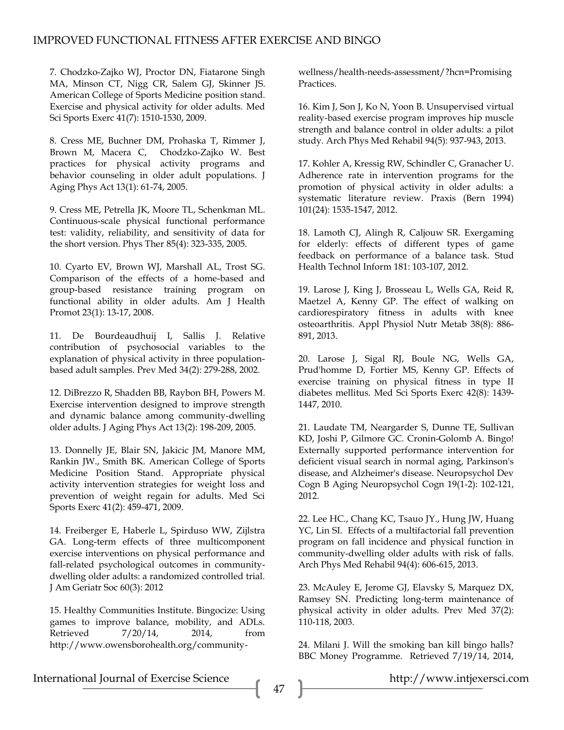7. Chodzko-Zajko WJ, Proctor DN, Fiatarone Singh MA, Minson CT, Nigg CR, Salem GJ, Skinner JS. American College of Sports Medicine position stand. Exercise and physical activity for older adults. Med Sci Sports Exerc 41(7): 1510-1530, 2009.

8. Cress ME, Buchner DM, Prohaska T, Rimmer J, Brown M, Macera C, Chodzko-Zajko W. Best practices for physical activity programs and behavior counseling in older adult populations. J Aging Phys Act 13(1): 61-74, 2005.

9. Cress ME, Petrella JK, Moore TL, Schenkman ML. Continuous-scale physical functional performance test: validity, reliability, and sensitivity of data for the short version. Phys Ther 85(4): 323-335, 2005.

10. Cyarto EV, Brown WJ, Marshall AL, Trost SG. Comparison of the effects of a home-based and group-based resistance training program on functional ability in older adults. Am J Health Promot 23(1): 13-17, 2008.

11. De Bourdeaudhuij I, Sallis J. Relative contribution of psychosocial variables to the explanation of physical activity in three populationbased adult samples. Prev Med 34(2): 279-288, 2002.

12. DiBrezzo R, Shadden BB, Raybon BH, Powers M. Exercise intervention designed to improve strength and dynamic balance among community-dwelling older adults. J Aging Phys Act 13(2): 198-209, 2005.

13. Donnelly JE, Blair SN, Jakicic JM, Manore MM, Rankin JW., Smith BK. American College of Sports Medicine Position Stand. Appropriate physical activity intervention strategies for weight loss and prevention of weight regain for adults. Med Sci Sports Exerc 41(2): 459-471, 2009.

14. Freiberger E, Haberle L, Spirduso WW, Zijlstra GA. Long-term effects of three multicomponent exercise interventions on physical performance and fall-related psychological outcomes in communitydwelling older adults: a randomized controlled trial. J Am Geriatr Soc 60(3): 2012

15. Healthy Communities Institute. Bingocize: Using games to improve balance, mobility, and ADLs. Retrieved  $7/20/14$ , 2014, from http://www.owensborohealth.org/communitywellness/health-needs-assessment/?hcn=Promising **Practices** 

16. Kim J, Son J, Ko N, Yoon B. Unsupervised virtual reality-based exercise program improves hip muscle strength and balance control in older adults: a pilot study. Arch Phys Med Rehabil 94(5): 937-943, 2013.

17. Kohler A, Kressig RW, Schindler C, Granacher U. Adherence rate in intervention programs for the promotion of physical activity in older adults: a systematic literature review. Praxis (Bern 1994) 101(24): 1535-1547, 2012.

18. Lamoth CJ, Alingh R, Caljouw SR. Exergaming for elderly: effects of different types of game feedback on performance of a balance task. Stud Health Technol Inform 181: 103-107, 2012.

19. Larose J, King J, Brosseau L, Wells GA, Reid R, Maetzel A, Kenny GP. The effect of walking on cardiorespiratory fitness in adults with knee osteoarthritis. Appl Physiol Nutr Metab 38(8): 886- 891, 2013.

20. Larose J, Sigal RJ, Boule NG, Wells GA, Prud'homme D, Fortier MS, Kenny GP. Effects of exercise training on physical fitness in type II diabetes mellitus. Med Sci Sports Exerc 42(8): 1439- 1447, 2010.

21. Laudate TM, Neargarder S, Dunne TE, Sullivan KD, Joshi P, Gilmore GC. Cronin-Golomb A. Bingo! Externally supported performance intervention for deficient visual search in normal aging, Parkinson's disease, and Alzheimer's disease. Neuropsychol Dev Cogn B Aging Neuropsychol Cogn 19(1-2): 102-121, 2012.

22. Lee HC., Chang KC, Tsauo JY., Hung JW, Huang YC, Lin SI. Effects of a multifactorial fall prevention program on fall incidence and physical function in community-dwelling older adults with risk of falls. Arch Phys Med Rehabil 94(4): 606-615, 2013.

23. McAuley E, Jerome GJ, Elavsky S, Marquez DX, Ramsey SN. Predicting long-term maintenance of physical activity in older adults. Prev Med 37(2): 110-118, 2003.

24. Milani J. Will the smoking ban kill bingo halls? BBC Money Programme. Retrieved 7/19/14, 2014,